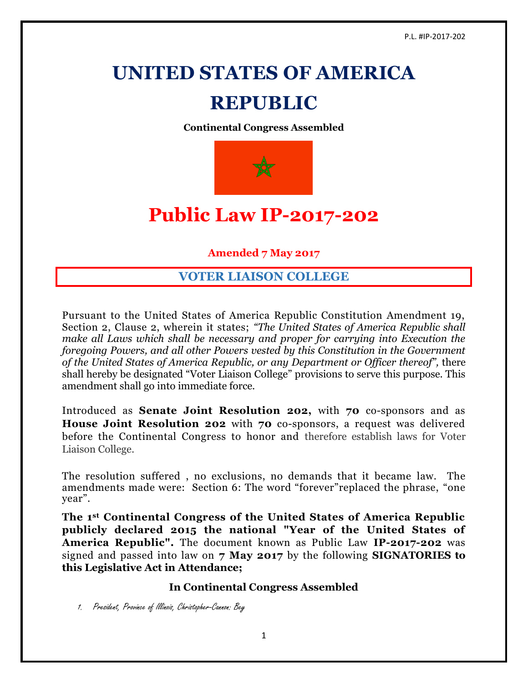# **UNITED STATES OF AMERICA**

# **REPUBLIC**

**Continental Congress Assembled**



# **Public Law IP-2017-202**

**Amended 7 May 2017**

# **VOTER LIAISON COLLEGE**

Pursuant to the United States of America Republic Constitution Amendment 19, Section 2, Clause 2, wherein it states; *"The United States of America Republic shall make all Laws which shall be necessary and proper for carrying into Execution the foregoing Powers, and all other Powers vested by this Constitution in the Government of the United States of America Republic, or any Department or Officer thereof",* there shall hereby be designated "Voter Liaison College" provisions to serve this purpose. This amendment shall go into immediate force.

Introduced as **Senate Joint Resolution 202,** with **70** co-sponsors and as **House Joint Resolution 202** with **70** co-sponsors, a request was delivered before the Continental Congress to honor and therefore establish laws for Voter Liaison College.

The resolution suffered , no exclusions, no demands that it became law. The amendments made were: Section 6: The word "forever"replaced the phrase, "one year".

**The 1st Continental Congress of the United States of America Republic publicly declared 2015 the national "Year of the United States of America Republic".** The document known as Public Law **IP-2017-202** was signed and passed into law on **7 May 2017** by the following **SIGNATORIES to this Legislative Act in Attendance;**

# **In Continental Congress Assembled**

1. President, Province of Illinois, Christopher-Cannon: Bey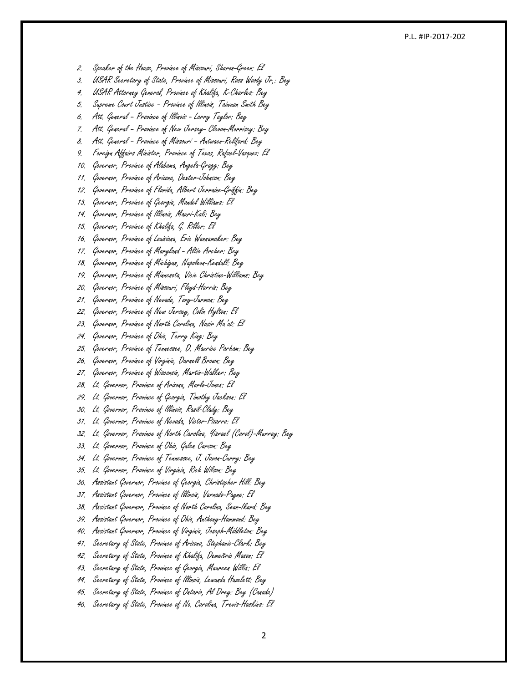#### P.L. #IP -20 1 7 -202

2. Speaker of the House, Province of Missouri, Sharon -Green: El

- 3. USAR Secretary of State, Province of Missouri, Ross Woody Jr,: Bey
- 4. USAR Attorney General, Province of Khalifa, K-Charles: Bey
- 5. Supreme Court Justice Province of Illinois, Taiwuan Smith Bey
- 6. Att. General Province of Illinois Larry Taylor: Bey
- 7. Att. General Province of New Jersey Clevon-Morrisey: Bey
- 8. Att. General Province of Missouri Antwaen-Reliford: Bey
- 9. Foreign Affairs Minister, Province of Texas, Rafael-Vazquez: El
- 10. Governor, Province of Alabama, Angela -Gragg: Bey
- 11. Governor, Province of Arizona, Dexter-Johnson: Bey
- 12. Governor, Province of Florida, Albert Jerraine -Griffin: Bey
- 13. Governor, Province of Georgia, Mandel Williams: El
- 14. Governor, Province of Illinois, Mauri-Kali: Bey
- 15. Governor, Province of Khalifa, G. Riller: El
- 16. Governor, Province of Louisiana, Eric Wannamaker: Bey
- 17. Governor, Province of Maryland Altie Archer: Bey
- 18. Governor, Province of Michigan, Napoleon -Kendall: Bey
- 19. Governor, Province of Minnesota, Vicie Christine -Williams: Bey
- 20. Governor, Province of Missouri, Floyd-Harris: Bey
- 21. Governor, Province of Nevada, Tony -Jarman: Bey
- 22. Governor, Province of New Jersey, Colin Hylton: El
- 23. Governor, Province of North Carolina, Nasir Ma'at: El
- 24. Governor, Province of Ohio, Terry King: Bey
- 25. Governor, Province of Tennessee, D. Maurice Parham: Bey
- 26. Governor, Province of Virginia, Darnell Brown: Bey
- 27. Governor, Province of Wisconsin, Martin -Walker: Bey
- 28. Lt. Governor, Province of Arizona, Marlo-Jones: El
- 29. Lt. Governor, Province of Georgia, Timothy Jackson: El
- 30. Lt. Governor, Province of Illinois, Rasil-Clady: Bey
- 31. Lt. Governor, Province of Nevada, Victor-Pizarro: El
- 32. Lt. Governor, Province of North Carolina, Yisrael (Carol) -Murray: Bey
- 33. Lt. Governor, Province of Ohio, Galen Carson: Bey
- 34. Lt. Governor, Province of Tennessee, J. Javon -Curry: Bey
- 35. Lt. Governor, Province of Virginia, Rich Wilson: Bey
- 36. Assistant Governor, Province of Georgia, Christopher Hill: Bey
- 37. Assistant Governor, Province of Illinois, Varnado -Payne: El
- 38. Assistant Governor, Province of North Carolina, Sean -Ikard: Bey
- 39. Assistant Governor, Province of Ohio, Anthony -Hammond: Bey
- 40. Assistant Governor, Province of Virginia, Joseph -Middleton: Bey
- 41. Secretary of State, Province of Arizona, Stephanie -Clark: Bey
- 42. Secretary of State, Province of Khalifa, Demeitric Mason: El
- 43. Secretary of State, Province of Georgia, Maureen Willis: El
- 44. Secretary of State, Province of Illinois, Lewanda Hazelett: Bey
- 45. Secretary of State, Province of Ontario, Al Drey: Bey (Canada)
- 46. Secretary of State, Province of No. Carolina, Trevis-Haskins: El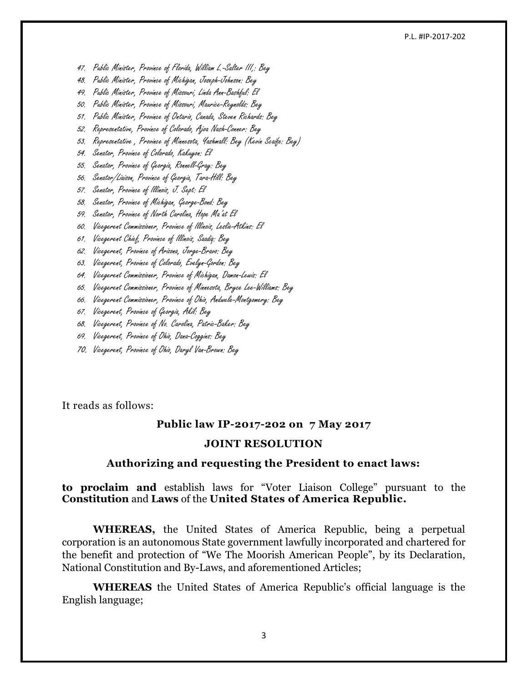#### P.L. #IP-2017-202

- 47. Public Minister, Province of Florida, William L.-Salter III,: Bey
- 48. Public Minister, Province of Michigan, Joseph-Johnson: Bey
- 49. Public Minister, Province of Missouri, Linda Ann-Bashful: El
- 50. Public Minister, Province of Missouri, Maurice-Reynolds: Bey
- 51. Public Minister, Province of Ontario, Canada, Steven Richards: Bey
- 52. Representative, Province of Colorado, Ajoa Nash-Conner: Bey
- 53. Representative , Province of Minnesota, Yashmall: Bey (Kevin Scaife: Bey)
- 54. Senator, Province of Colorado, Kakuyon: El
- 55. Senator, Province of Georgia, Ronnell-Gray: Bey
- 56. Senator/Liaison, Province of Georgia, Tara-Hill: Bey
- 57. Senator, Province of Illinois, J. Sept: El
- 58. Senator, Province of Michigan, George-Bond: Bey
- 59. Senator, Province of North Carolina, Hope Ma'at El
- 60. Vicegerent Commissioner, Province of Illinois, Leslie-Atkins: El
- 61. Vicegerent Chief, Province of Illinois, Saadiq: Bey
- 62. Vicegerent, Province of Arizona, Jorge-Bravo: Bey
- 63. Vicegerent, Province of Colorado, Evelyn-Gordon: Bey
- 64. Vicegerent Commissioner, Province of Michigan, Damon-Lewis: El
- 65. Vicegerent Commissioner, Province of Minnesota, Bryce Lee-Williams: Bey
- 66. Vicegerent Commissioner, Province of Ohio, Andwele-Montgomery: Bey
- 67. Vicegerent, Province of Georgia, Akil: Bey
- 68. Vicegerent, Province of No. Carolina, Patric-Baker: Bey
- 69. Vicegerent, Province of Ohio, Dana-Coggins: Bey
- 70. Vicegerent, Province of Ohio, Daryl Van-Brown: Bey

It reads as follows:

#### **Public law IP-2017-202 on 7 May 2017**

#### **JOINT RESOLUTION**

#### **Authorizing and requesting the President to enact laws:**

**to proclaim and** establish laws for "Voter Liaison College" pursuant to the **Constitution** and **Laws** of the **United States of America Republic.**

**WHEREAS,** the United States of America Republic, being a perpetual corporation is an autonomous State government lawfully incorporated and chartered for the benefit and protection of "We The Moorish American People", by its Declaration, National Constitution and By-Laws, and aforementioned Articles;

**WHEREAS** the United States of America Republic's official language is the English language;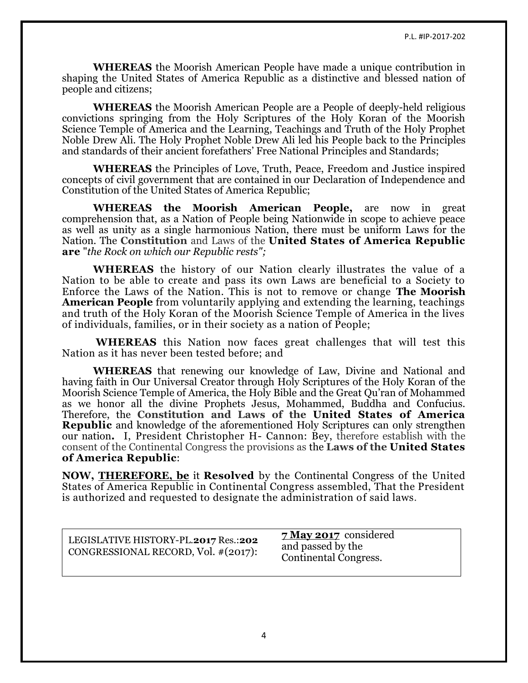**WHEREAS** the Moorish American People have made a unique contribution in shaping the United States of America Republic as a distinctive and blessed nation of people and citizens;

**WHEREAS** the Moorish American People are a People of deeply-held religious convictions springing from the Holy Scriptures of the Holy Koran of the Moorish Science Temple of America and the Learning, Teachings and Truth of the Holy Prophet Noble Drew Ali. The Holy Prophet Noble Drew Ali led his People back to the Principles and standards of their ancient forefathers' Free National Principles and Standards;

**WHEREAS** the Principles of Love, Truth, Peace, Freedom and Justice inspired concepts of civil government that are contained in our Declaration of Independence and Constitution of the United States of America Republic;

**WHEREAS the Moorish American People,** are now in great comprehension that, as a Nation of People being Nationwide in scope to achieve peace as well as unity as a single harmonious Nation, there must be uniform Laws for the Nation. The **Constitution** and Laws of the **United States of America Republic are** "*the Rock on which our Republic rests";*

**WHEREAS** the history of our Nation clearly illustrates the value of a Nation to be able to create and pass its own Laws are beneficial to a Society to Enforce the Laws of the Nation. This is not to remove or change **The Moorish American People** from voluntarily applying and extending the learning, teachings and truth of the Holy Koran of the Moorish Science Temple of America in the lives of individuals, families, or in their society as a nation of People;

**WHEREAS** this Nation now faces great challenges that will test this Nation as it has never been tested before; and

**WHEREAS** that renewing our knowledge of Law, Divine and National and having faith in Our Universal Creator through Holy Scriptures of the Holy Koran of the Moorish Science Temple of America, the Holy Bible and the Great Qu'ran of Mohammed as we honor all the divine Prophets Jesus, Mohammed, Buddha and Confucius. Therefore, the **Constitution and Laws of the United States of America Republic** and knowledge of the aforementioned Holy Scriptures can only strengthen our nation**.** I, President Christopher H- Cannon: Bey, therefore establish with the consent of the Continental Congress the provisions as the **Laws of the United States of America Republic**:

**NOW, [THEREFORE, be](http://therefore.be/)** it **Resolved** by the Continental Congress of the United States of America Republic in Continental Congress assembled, That the President is authorized and requested to designate the administration of said laws.

LEGISLATIVE HISTORY-PL.**2017** Res.:**202** CONGRESSIONAL RECORD, Vol. #(2017):

**7 May 2017** considered and passed by the Continental Congress.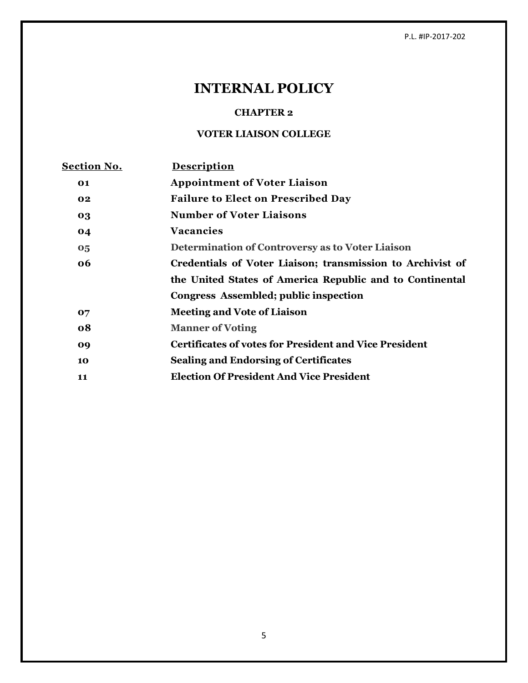P.L. #IP-2017-202

# **INTERNAL POLICY**

## **CHAPTER 2**

# **VOTER LIAISON COLLEGE**

| <u>Section No.</u> | <b>Description</b>                                            |
|--------------------|---------------------------------------------------------------|
| 01                 | <b>Appointment of Voter Liaison</b>                           |
| 02                 | <b>Failure to Elect on Prescribed Day</b>                     |
| 03                 | <b>Number of Voter Liaisons</b>                               |
| 04                 | <b>Vacancies</b>                                              |
| 05                 | Determination of Controversy as to Voter Liaison              |
| 06                 | Credentials of Voter Liaison; transmission to Archivist of    |
|                    | the United States of America Republic and to Continental      |
|                    | Congress Assembled; public inspection                         |
| 07                 | <b>Meeting and Vote of Liaison</b>                            |
| 08                 | <b>Manner of Voting</b>                                       |
| 09                 | <b>Certificates of votes for President and Vice President</b> |
| 10                 | <b>Sealing and Endorsing of Certificates</b>                  |
| 11                 | <b>Election Of President And Vice President</b>               |
|                    |                                                               |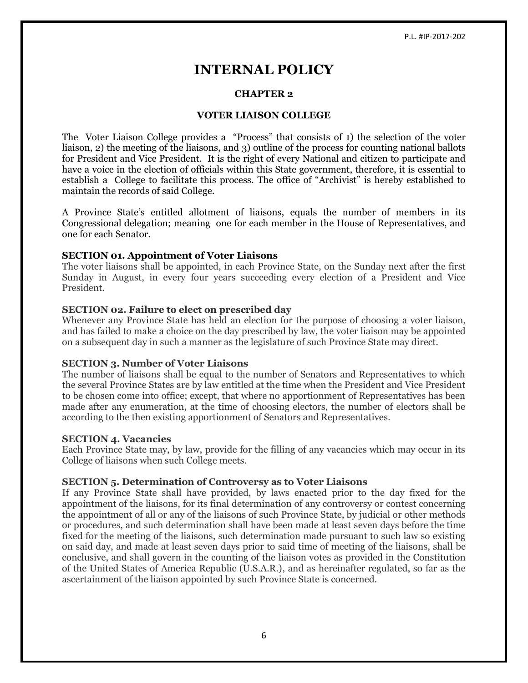# **INTERNAL POLICY**

#### **CHAPTER 2**

#### **VOTER LIAISON COLLEGE**

The Voter Liaison College provides a "Process" that consists of 1) the selection of the voter liaison, 2) the meeting of the liaisons, and 3) outline of the process for counting national ballots for President and Vice President. It is the right of every National and citizen to participate and have a voice in the election of officials within this State government, therefore, it is essential to establish a College to facilitate this process. The office of "Archivist" is hereby established to maintain the records of said College.

A Province State's entitled allotment of liaisons, equals the number of members in its Congressional delegation; meaning one for each member in the House of Representatives, and one for each Senator.

#### **SECTION 01. Appointment of Voter Liaisons**

The voter liaisons shall be appointed, in each Province State, on the Sunday next after the first Sunday in August, in every four years succeeding every election of a President and Vice President.

#### **SECTION 02. Failure to elect on prescribed day**

Whenever any Province State has held an election for the purpose of choosing a voter liaison, and has failed to make a choice on the day prescribed by law, the voter liaison may be appointed on a subsequent day in such a manner as the legislature of such Province State may direct.

#### **SECTION 3. Number of Voter Liaisons**

The number of liaisons shall be equal to the number of Senators and Representatives to which the several Province States are by law entitled at the time when the President and Vice President to be chosen come into office; except, that where no apportionment of Representatives has been made after any enumeration, at the time of choosing electors, the number of electors shall be according to the then existing apportionment of Senators and Representatives.

#### **SECTION 4. Vacancies**

Each Province State may, by law, provide for the filling of any vacancies which may occur in its College of liaisons when such College meets.

#### **SECTION 5. Determination of Controversy as to Voter Liaisons**

If any Province State shall have provided, by laws enacted prior to the day fixed for the appointment of the liaisons, for its final determination of any controversy or contest concerning the appointment of all or any of the liaisons of such Province State, by judicial or other methods or procedures, and such determination shall have been made at least seven days before the time fixed for the meeting of the liaisons, such determination made pursuant to such law so existing on said day, and made at least seven days prior to said time of meeting of the liaisons, shall be conclusive, and shall govern in the counting of the liaison votes as provided in the Constitution of the United States of America Republic (U.S.A.R.), and as hereinafter regulated, so far as the ascertainment of the liaison appointed by such Province State is concerned.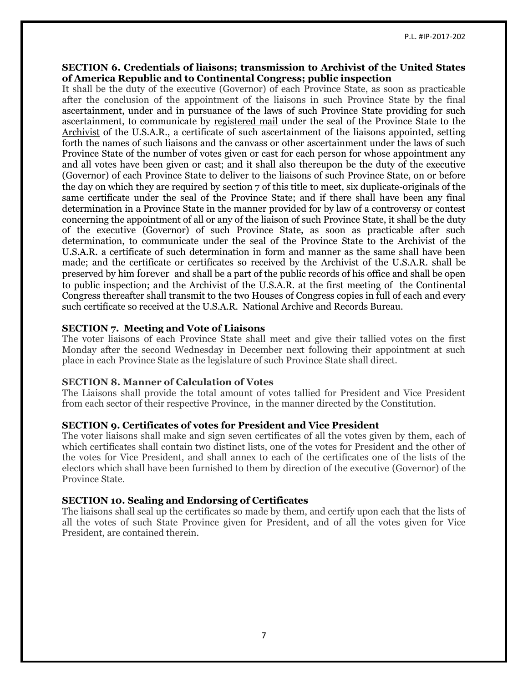## **SECTION 6. Credentials of liaisons; transmission to Archivist of the United States of America Republic and to Continental Congress; public inspection**

It shall be the duty of the executive (Governor) of each Province State, as soon as practicable after the conclusion of the appointment of the liaisons in such Province State by the final ascertainment, under and in pursuance of the laws of such Province State providing for such ascertainment, to communicate by registered mail under the seal of the Province State to the Archivist of the U.S.A.R., a certificate of such ascertainment of the liaisons appointed, setting forth the names of such liaisons and the canvass or other ascertainment under the laws of such Province State of the number of votes given or cast for each person for whose appointment any and all votes have been given or cast; and it shall also thereupon be the duty of the executive (Governor) of each Province State to deliver to the liaisons of such Province State, on or before the day on which they are required by section 7 of this title to meet, six duplicate-originals of the same certificate under the seal of the Province State; and if there shall have been any final determination in a Province State in the manner provided for by law of a controversy or contest concerning the appointment of all or any of the liaison of such Province State, it shall be the duty of the executive (Governor) of such Province State, as soon as practicable after such determination, to communicate under the seal of the Province State to the Archivist of the U.S.A.R. a certificate of such determination in form and manner as the same shall have been made; and the certificate or certificates so received by the Archivist of the U.S.A.R. shall be preserved by him forever and shall be a part of the public records of his office and shall be open to public inspection; and the Archivist of the U.S.A.R. at the first meeting of the Continental Congress thereafter shall transmit to the two Houses of Congress copies in full of each and every such certificate so received at the U.S.A.R. National Archive and Records Bureau.

### **SECTION 7. Meeting and Vote of Liaisons**

The voter liaisons of each Province State shall meet and give their tallied votes on the first Monday after the second Wednesday in December next following their appointment at such place in each Province State as the legislature of such Province State shall direct.

## **SECTION 8. Manner of Calculation of Votes**

The Liaisons shall provide the total amount of votes tallied for President and Vice President from each sector of their respective Province, in the manner directed by the Constitution.

#### **SECTION 9. Certificates of votes for President and Vice President**

The voter liaisons shall make and sign seven certificates of all the votes given by them, each of which certificates shall contain two distinct lists, one of the votes for President and the other of the votes for Vice President, and shall annex to each of the certificates one of the lists of the electors which shall have been furnished to them by direction of the executive (Governor) of the Province State.

## **SECTION 10. Sealing and Endorsing of Certificates**

The liaisons shall seal up the certificates so made by them, and certify upon each that the lists of all the votes of such State Province given for President, and of all the votes given for Vice President, are contained therein.